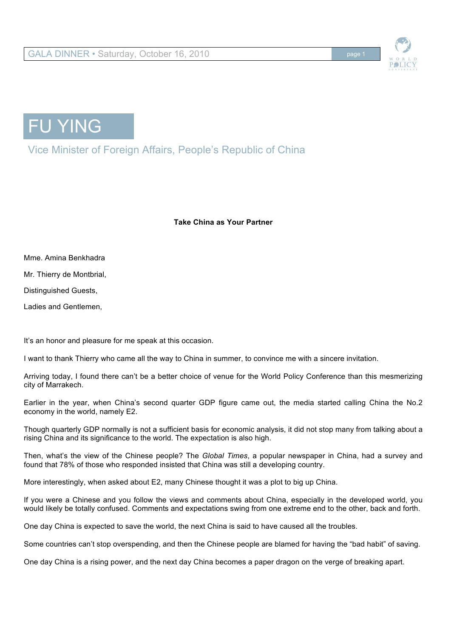





Vice Minister of Foreign Affairs, People's Republic of China

**Take China as Your Partner**

Mme. Amina Benkhadra Mr. Thierry de Montbrial, Distinguished Guests,

Ladies and Gentlemen,

It's an honor and pleasure for me speak at this occasion.

I want to thank Thierry who came all the way to China in summer, to convince me with a sincere invitation.

Arriving today, I found there can't be a better choice of venue for the World Policy Conference than this mesmerizing city of Marrakech.

Earlier in the year, when China's second quarter GDP figure came out, the media started calling China the No.2 economy in the world, namely E2.

Though quarterly GDP normally is not a sufficient basis for economic analysis, it did not stop many from talking about a rising China and its significance to the world. The expectation is also high.

Then, what's the view of the Chinese people? The *Global Times*, a popular newspaper in China, had a survey and found that 78% of those who responded insisted that China was still a developing country.

More interestingly, when asked about E2, many Chinese thought it was a plot to big up China.

If you were a Chinese and you follow the views and comments about China, especially in the developed world, you would likely be totally confused. Comments and expectations swing from one extreme end to the other, back and forth.

One day China is expected to save the world, the next China is said to have caused all the troubles.

Some countries can't stop overspending, and then the Chinese people are blamed for having the "bad habit" of saving.

One day China is a rising power, and the next day China becomes a paper dragon on the verge of breaking apart.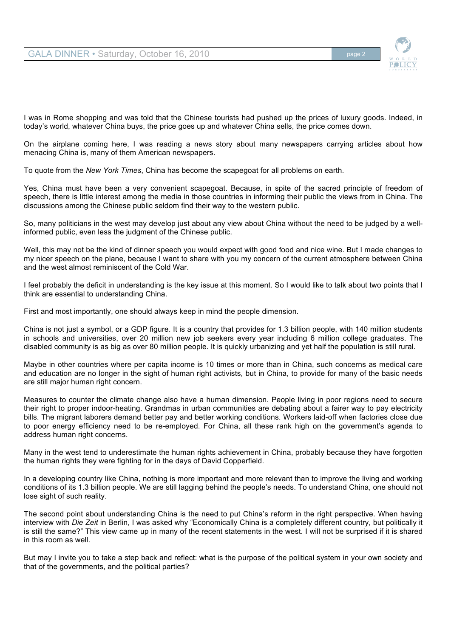

I was in Rome shopping and was told that the Chinese tourists had pushed up the prices of luxury goods. Indeed, in today's world, whatever China buys, the price goes up and whatever China sells, the price comes down.

On the airplane coming here, I was reading a news story about many newspapers carrying articles about how menacing China is, many of them American newspapers.

To quote from the *New York Times*, China has become the scapegoat for all problems on earth.

Yes, China must have been a very convenient scapegoat. Because, in spite of the sacred principle of freedom of speech, there is little interest among the media in those countries in informing their public the views from in China. The discussions among the Chinese public seldom find their way to the western public.

So, many politicians in the west may develop just about any view about China without the need to be judged by a wellinformed public, even less the judgment of the Chinese public.

Well, this may not be the kind of dinner speech you would expect with good food and nice wine. But I made changes to my nicer speech on the plane, because I want to share with you my concern of the current atmosphere between China and the west almost reminiscent of the Cold War.

I feel probably the deficit in understanding is the key issue at this moment. So I would like to talk about two points that I think are essential to understanding China.

First and most importantly, one should always keep in mind the people dimension.

China is not just a symbol, or a GDP figure. It is a country that provides for 1.3 billion people, with 140 million students in schools and universities, over 20 million new job seekers every year including 6 million college graduates. The disabled community is as big as over 80 million people. It is quickly urbanizing and yet half the population is still rural.

Maybe in other countries where per capita income is 10 times or more than in China, such concerns as medical care and education are no longer in the sight of human right activists, but in China, to provide for many of the basic needs are still major human right concern.

Measures to counter the climate change also have a human dimension. People living in poor regions need to secure their right to proper indoor-heating. Grandmas in urban communities are debating about a fairer way to pay electricity bills. The migrant laborers demand better pay and better working conditions. Workers laid-off when factories close due to poor energy efficiency need to be re-employed. For China, all these rank high on the government's agenda to address human right concerns.

Many in the west tend to underestimate the human rights achievement in China, probably because they have forgotten the human rights they were fighting for in the days of David Copperfield.

In a developing country like China, nothing is more important and more relevant than to improve the living and working conditions of its 1.3 billion people. We are still lagging behind the people's needs. To understand China, one should not lose sight of such reality.

The second point about understanding China is the need to put China's reform in the right perspective. When having interview with *Die Zeit* in Berlin, I was asked why "Economically China is a completely different country, but politically it is still the same?" This view came up in many of the recent statements in the west. I will not be surprised if it is shared in this room as well.

But may I invite you to take a step back and reflect: what is the purpose of the political system in your own society and that of the governments, and the political parties?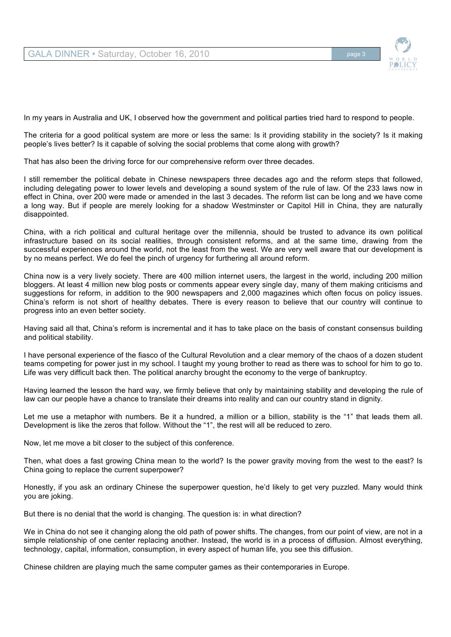

In my years in Australia and UK, I observed how the government and political parties tried hard to respond to people.

The criteria for a good political system are more or less the same: Is it providing stability in the society? Is it making people's lives better? Is it capable of solving the social problems that come along with growth?

That has also been the driving force for our comprehensive reform over three decades.

I still remember the political debate in Chinese newspapers three decades ago and the reform steps that followed, including delegating power to lower levels and developing a sound system of the rule of law. Of the 233 laws now in effect in China, over 200 were made or amended in the last 3 decades. The reform list can be long and we have come a long way. But if people are merely looking for a shadow Westminster or Capitol Hill in China, they are naturally disappointed.

China, with a rich political and cultural heritage over the millennia, should be trusted to advance its own political infrastructure based on its social realities, through consistent reforms, and at the same time, drawing from the successful experiences around the world, not the least from the west. We are very well aware that our development is by no means perfect. We do feel the pinch of urgency for furthering all around reform.

China now is a very lively society. There are 400 million internet users, the largest in the world, including 200 million bloggers. At least 4 million new blog posts or comments appear every single day, many of them making criticisms and suggestions for reform, in addition to the 900 newspapers and 2,000 magazines which often focus on policy issues. China's reform is not short of healthy debates. There is every reason to believe that our country will continue to progress into an even better society.

Having said all that, China's reform is incremental and it has to take place on the basis of constant consensus building and political stability.

I have personal experience of the fiasco of the Cultural Revolution and a clear memory of the chaos of a dozen student teams competing for power just in my school. I taught my young brother to read as there was to school for him to go to. Life was very difficult back then. The political anarchy brought the economy to the verge of bankruptcy.

Having learned the lesson the hard way, we firmly believe that only by maintaining stability and developing the rule of law can our people have a chance to translate their dreams into reality and can our country stand in dignity.

Let me use a metaphor with numbers. Be it a hundred, a million or a billion, stability is the "1" that leads them all. Development is like the zeros that follow. Without the "1", the rest will all be reduced to zero.

Now, let me move a bit closer to the subject of this conference.

Then, what does a fast growing China mean to the world? Is the power gravity moving from the west to the east? Is China going to replace the current superpower?

Honestly, if you ask an ordinary Chinese the superpower question, he'd likely to get very puzzled. Many would think you are joking.

But there is no denial that the world is changing. The question is: in what direction?

We in China do not see it changing along the old path of power shifts. The changes, from our point of view, are not in a simple relationship of one center replacing another. Instead, the world is in a process of diffusion. Almost everything, technology, capital, information, consumption, in every aspect of human life, you see this diffusion.

Chinese children are playing much the same computer games as their contemporaries in Europe.